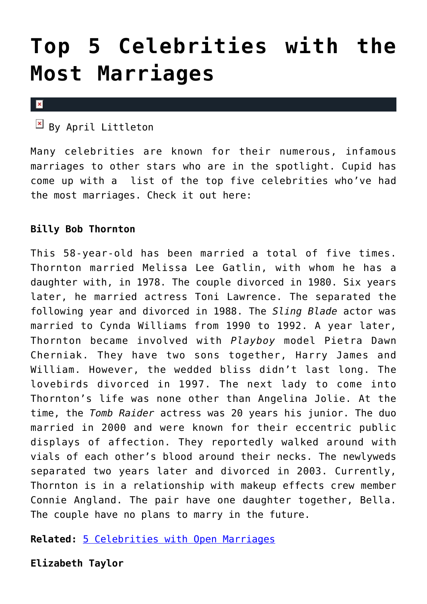# **[Top 5 Celebrities with the](https://cupidspulse.com/65747/5-celebrities-most-marriages/) [Most Marriages](https://cupidspulse.com/65747/5-celebrities-most-marriages/)**

 $\pmb{\times}$ 

 $\boxed{\times}$  By April Littleton

Many celebrities are known for their numerous, infamous marriages to other stars who are in the spotlight. Cupid has come up with a list of the top five celebrities who've had the most marriages. Check it out here:

### **Billy Bob Thornton**

This 58-year-old has been married a total of five times. Thornton married Melissa Lee Gatlin, with whom he has a daughter with, in 1978. The couple divorced in 1980. Six years later, he married actress Toni Lawrence. The separated the following year and divorced in 1988. The *Sling Blade* actor was married to Cynda Williams from 1990 to 1992. A year later, Thornton became involved with *Playboy* model Pietra Dawn Cherniak. They have two sons together, Harry James and William. However, the wedded bliss didn't last long. The lovebirds divorced in 1997. The next lady to come into Thornton's life was none other than Angelina Jolie. At the time, the *Tomb Raider* actress was 20 years his junior. The duo married in 2000 and were known for their eccentric public displays of affection. They reportedly walked around with vials of each other's blood around their necks. The newlyweds separated two years later and divorced in 2003. Currently, Thornton is in a relationship with makeup effects crew member Connie Angland. The pair have one daughter together, Bella. The couple have no plans to marry in the future.

**Related:** [5 Celebrities with Open Marriages](http://cupidspulse.com/5-celebrities-open-marriages/)

**Elizabeth Taylor**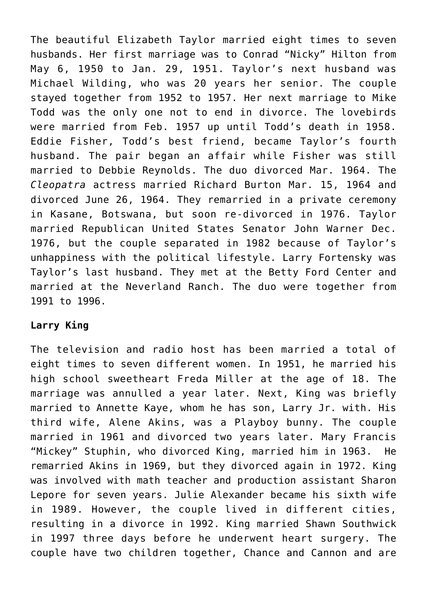The beautiful Elizabeth Taylor married eight times to seven husbands. Her first marriage was to Conrad "Nicky" Hilton from May 6, 1950 to Jan. 29, 1951. Taylor's next husband was Michael Wilding, who was 20 years her senior. The couple stayed together from 1952 to 1957. Her next marriage to Mike Todd was the only one not to end in divorce. The lovebirds were married from Feb. 1957 up until Todd's death in 1958. Eddie Fisher, Todd's best friend, became Taylor's fourth husband. The pair began an affair while Fisher was still married to Debbie Reynolds. The duo divorced Mar. 1964. The *Cleopatra* actress married Richard Burton Mar. 15, 1964 and divorced June 26, 1964. They remarried in a private ceremony in Kasane, Botswana, but soon re-divorced in 1976. Taylor married Republican United States Senator John Warner Dec. 1976, but the couple separated in 1982 because of Taylor's unhappiness with the political lifestyle. Larry Fortensky was Taylor's last husband. They met at the Betty Ford Center and married at the Neverland Ranch. The duo were together from 1991 to 1996.

### **Larry King**

The television and radio host has been married a total of eight times to seven different women. In 1951, he married his high school sweetheart Freda Miller at the age of 18. The marriage was annulled a year later. Next, King was briefly married to Annette Kaye, whom he has son, Larry Jr. with. His third wife, Alene Akins, was a Playboy bunny. The couple married in 1961 and divorced two years later. Mary Francis "Mickey" Stuphin, who divorced King, married him in 1963. He remarried Akins in 1969, but they divorced again in 1972. King was involved with math teacher and production assistant Sharon Lepore for seven years. Julie Alexander became his sixth wife in 1989. However, the couple lived in different cities, resulting in a divorce in 1992. King married Shawn Southwick in 1997 three days before he underwent heart surgery. The couple have two children together, Chance and Cannon and are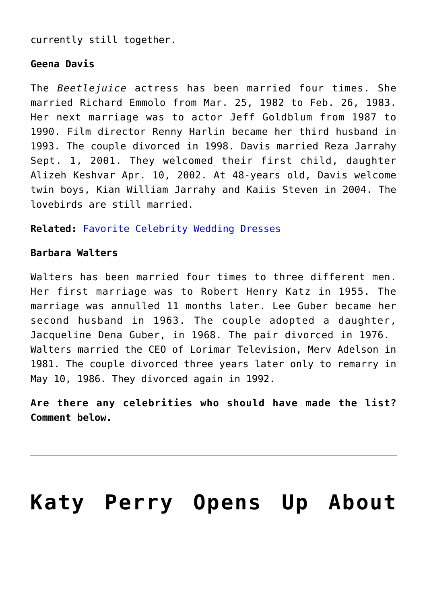currently still together.

### **Geena Davis**

The *Beetlejuice* actress has been married four times. She married Richard Emmolo from Mar. 25, 1982 to Feb. 26, 1983. Her next marriage was to actor Jeff Goldblum from 1987 to 1990. Film director Renny Harlin became her third husband in 1993. The couple divorced in 1998. Davis married Reza Jarrahy Sept. 1, 2001. They welcomed their first child, daughter Alizeh Keshvar Apr. 10, 2002. At 48-years old, Davis welcome twin boys, Kian William Jarrahy and Kaiis Steven in 2004. The lovebirds are still married.

**Related:** [Favorite Celebrity Wedding Dresses](http://cupidspulse.com/favorite-celebrity-wedding-dresses/)

### **Barbara Walters**

Walters has been married four times to three different men. Her first marriage was to Robert Henry Katz in 1955. The marriage was annulled 11 months later. Lee Guber became her second husband in 1963. The couple adopted a daughter, Jacqueline Dena Guber, in 1968. The pair divorced in 1976. Walters married the CEO of Lorimar Television, Merv Adelson in 1981. The couple divorced three years later only to remarry in May 10, 1986. They divorced again in 1992.

**Are there any celebrities who should have made the list? Comment below.**

# **[Katy Perry Opens Up About](https://cupidspulse.com/59071/katy-perry-opens-up-about-divorce-from-russell-brand/)**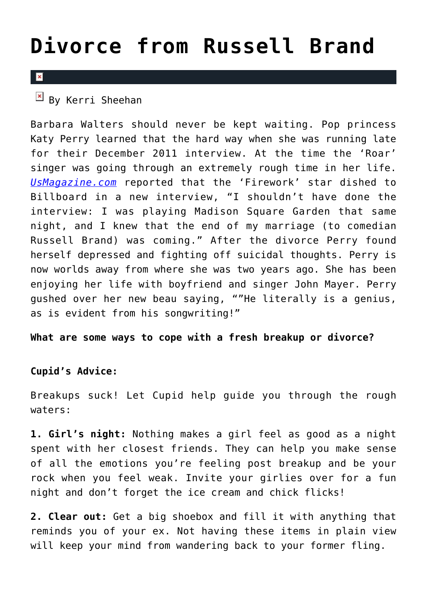## **[Divorce from Russell Brand](https://cupidspulse.com/59071/katy-perry-opens-up-about-divorce-from-russell-brand/)**

### $\overline{\mathbf{x}}$

### $\frac{1}{2}$  By Kerri Sheehan

Barbara Walters should never be kept waiting. Pop princess Katy Perry learned that the hard way when she was running late for their December 2011 interview. At the time the 'Roar' singer was going through an extremely rough time in her life. *[UsMagazine.com](http://www.usmagazine.com/celebrity-news/news/katy-perry-says-john-mayer-is-a-genius-says-barbara-walters-shaded-her--2013289)* reported that the 'Firework' star dished to Billboard in a new interview, "I shouldn't have done the interview: I was playing Madison Square Garden that same night, and I knew that the end of my marriage (to comedian Russell Brand) was coming." After the divorce Perry found herself depressed and fighting off suicidal thoughts. Perry is now worlds away from where she was two years ago. She has been enjoying her life with boyfriend and singer John Mayer. Perry gushed over her new beau saying, ""He literally is a genius, as is evident from his songwriting!"

#### **What are some ways to cope with a fresh breakup or divorce?**

### **Cupid's Advice:**

Breakups suck! Let Cupid help guide you through the rough waters:

**1. Girl's night:** Nothing makes a girl feel as good as a night spent with her closest friends. They can help you make sense of all the emotions you're feeling post breakup and be your rock when you feel weak. Invite your girlies over for a fun night and don't forget the ice cream and chick flicks!

**2. Clear out:** Get a big shoebox and fill it with anything that reminds you of your ex. Not having these items in plain view will keep your mind from wandering back to your former fling.